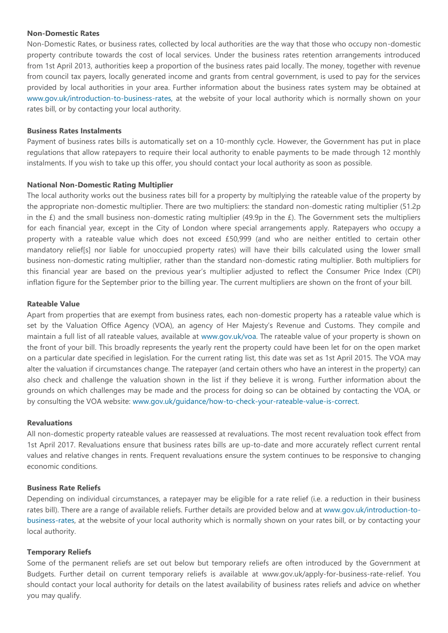#### **Non-Domestic Rates**

Non-Domestic Rates, or business rates, collected by local authorities are the way that those who occupy non-domestic property contribute towards the cost of local services. Under the business rates retention arrangements introduced from 1st April 2013, authorities keep a proportion of the business rates paid locally. The money, together with revenue from council tax payers, locally generated income and grants from central government, is used to pay for the services provided by local authorities in your area. Further information about the business rates system may be obtained at [www.gov.uk/introduction-to-business-rates, at the website of your local authority which is normally shown on your](http://www.gov.uk/introduction-to-business-rates,%20at%20the%20website%20of%20your%20local%20authority%20which%20is%20normally%20shown%20on%20your%20rate%20bill,%20or%20by%20contacting%20your%20local%20authority.)  [rates bill, or by contacting your local authority.](http://www.gov.uk/introduction-to-business-rates,%20at%20the%20website%20of%20your%20local%20authority%20which%20is%20normally%20shown%20on%20your%20rate%20bill,%20or%20by%20contacting%20your%20local%20authority.)

### **Business Rates Instalments**

Payment of business rates bills is automatically set on a 10-monthly cycle. However, the Government has put in place regulations that allow ratepayers to require their local authority to enable payments to be made through 12 monthly instalments. If you wish to take up this offer, you should contact your local authority as soon as possible.

### **National Non-Domestic Rating Multiplier**

The local authority works out the business rates bill for a property by multiplying the rateable value of the property by the appropriate non-domestic multiplier. There are two multipliers: the standard non-domestic rating multiplier (51.2p in the  $E$ ) and the small business non-domestic rating multiplier (49.9p in the  $E$ ). The Government sets the multipliers for each financial year, except in the City of London where special arrangements apply. Ratepayers who occupy a property with a rateable value which does not exceed £50,999 (and who are neither entitled to certain other mandatory relief[s] nor liable for unoccupied property rates) will have their bills calculated using the lower small business non-domestic rating multiplier, rather than the standard non-domestic rating multiplier. Both multipliers for this financial year are based on the previous year's multiplier adjusted to reflect the Consumer Price Index (CPI) inflation figure for the September prior to the billing year. The current multipliers are shown on the front of your bill.

#### **Rateable Value**

Apart from properties that are exempt from business rates, each non-domestic property has a rateable value which is set by the Valuation Office Agency (VOA), an agency of Her Majesty's Revenue and Customs. They compile and maintain a full list of all rateable values, available at [www.gov.uk/voa.](http://www.gov.uk/voa) The rateable value of your property is shown on the front of your bill. This broadly represents the yearly rent the property could have been let for on the open market on a particular date specified in legislation. For the current rating list, this date was set as 1st April 2015. The VOA may alter the valuation if circumstances change. The ratepayer (and certain others who have an interest in the property) can also check and challenge the valuation shown in the list if they believe it is wrong. Further information about the grounds on which challenges may be made and the process for doing so can be obtained by contacting the VOA, or by consulting the VOA website: [www.gov.uk/guidance/how-to-check-your-rateable-value-is-correct.](http://www.gov.uk/guidance/how-to-check-your-rateable-value-is-correct)

#### **Revaluations**

All non-domestic property rateable values are reassessed at revaluations. The most recent revaluation took effect from 1st April 2017. Revaluations ensure that business rates bills are up-to-date and more accurately reflect current rental values and relative changes in rents. Frequent revaluations ensure the system continues to be responsive to changing economic conditions.

#### **Business Rate Reliefs**

Depending on individual circumstances, a ratepayer may be eligible for a rate relief (i.e. a reduction in their business rates bill). There are a range of available reliefs. Further details are provided below and at [www.gov.uk/introduction-to](http://www.gov.uk/introduction-to-business-rates)[business-rates,](http://www.gov.uk/introduction-to-business-rates) at the website of your local authority which is normally shown on your rates bill, or by contacting your local authority.

### **Temporary Reliefs**

Some of the permanent reliefs are set out below but temporary reliefs are often introduced by the Government at Budgets. Further detail on current temporary reliefs is available at [www.gov.uk/apply-for-business-rate-relief.](http://www.gov.uk/apply-for-business-rate-relief) You should contact your local authority for details on the latest availability of business rates reliefs and advice on whether you may qualify.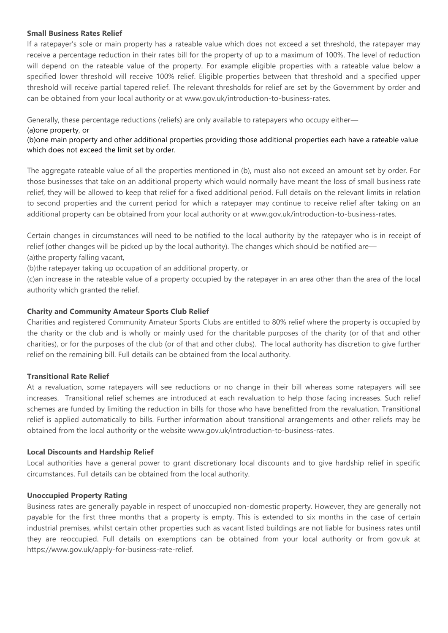### **Small Business Rates Relief**

If a ratepayer's sole or main property has a rateable value which does not exceed a set threshold, the ratepayer may receive a percentage reduction in their rates bill for the property of up to a maximum of 100%. The level of reduction will depend on the rateable value of the property. For example eligible properties with a rateable value below a specified lower threshold will receive 100% relief. Eligible properties between that threshold and a specified upper threshold will receive partial tapered relief. The relevant thresholds for relief are set by the Government by order and can be obtained from your local authority or at [www.gov.uk/introduction-to-business-rates.](http://www.gov.uk/introduction-to-business-rates)

Generally, these percentage reductions (reliefs) are only available to ratepayers who occupy either—

## (a)one property, or

(b)one main property and other additional properties providing those additional properties each have a rateable value which does not exceed the limit set by order.

The aggregate rateable value of all the properties mentioned in (b), must also not exceed an amount set by order. For those businesses that take on an additional property which would normally have meant the loss of small business rate relief, they will be allowed to keep that relief for a fixed additional period. Full details on the relevant limits in relation to second properties and the current period for which a ratepayer may continue to receive relief after taking on an additional property can be obtained from your local authority or at [www.gov.uk/introduction-to-business-rates.](http://www.gov.uk/introduction-to-business-rates)

Certain changes in circumstances will need to be notified to the local authority by the ratepayer who is in receipt of relief (other changes will be picked up by the local authority). The changes which should be notified are— (a)the property falling vacant,

(b)the ratepayer taking up occupation of an additional property, or

(c)an increase in the rateable value of a property occupied by the ratepayer in an area other than the area of the local authority which granted the relief.

# **Charity and Community Amateur Sports Club Relief**

Charities and registered Community Amateur Sports Clubs are entitled to 80% relief where the property is occupied by the charity or the club and is wholly or mainly used for the charitable purposes of the charity (or of that and other charities), or for the purposes of the club (or of that and other clubs). The local authority has discretion to give further relief on the remaining bill. Full details can be obtained from the local authority.

# **Transitional Rate Relief**

At a revaluation, some ratepayers will see reductions or no change in their bill whereas some ratepayers will see increases. Transitional relief schemes are introduced at each revaluation to help those facing increases. Such relief schemes are funded by limiting the reduction in bills for those who have benefitted from the revaluation. Transitional relief is applied automatically to bills. Further information about transitional arrangements and other reliefs may be obtained from the local authority or the website [www.gov.uk/introduction-to-business-rates.](http://www.gov.uk/introduction-to-business-rates)

# **Local Discounts and Hardship Relief**

Local authorities have a general power to grant discretionary local discounts and to give hardship relief in specific circumstances. Full details can be obtained from the local authority.

# **Unoccupied Property Rating**

Business rates are generally payable in respect of unoccupied non-domestic property. However, they are generally not payable for the first three months that a property is empty. This is extended to six months in the case of certain industrial premises, whilst certain other properties such as vacant listed buildings are not liable for business rates until they are reoccupied. Full details on exemptions can be obtained from your local authority or from gov.uk at [https://www.gov.uk/apply-for-business-rate-relief.](https://www.gov.uk/apply-for-business-rate-relief)